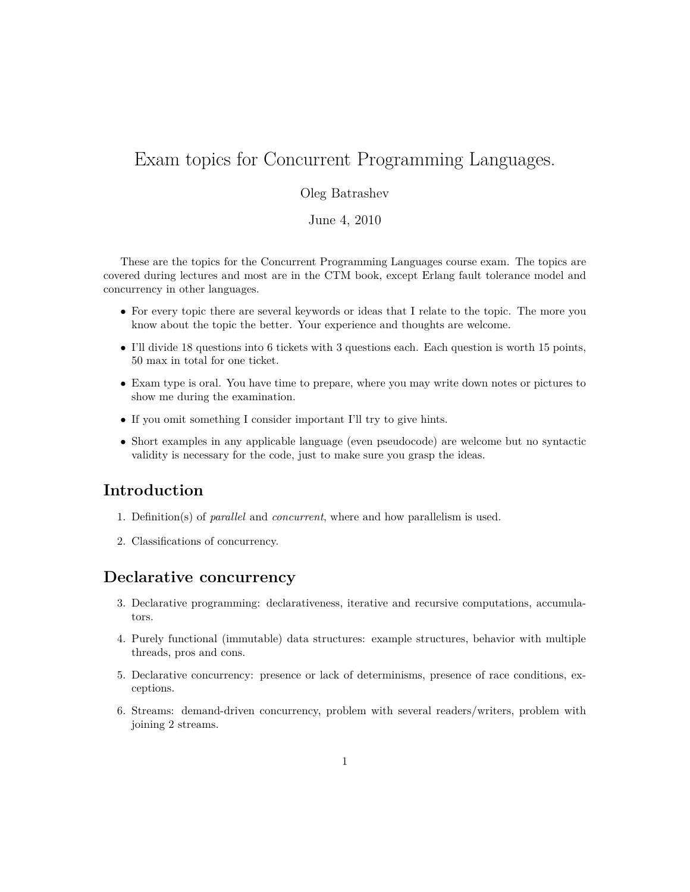# Exam topics for Concurrent Programming Languages.

#### Oleg Batrashev

June 4, 2010

These are the topics for the Concurrent Programming Languages course exam. The topics are covered during lectures and most are in the CTM book, except Erlang fault tolerance model and concurrency in other languages.

- For every topic there are several keywords or ideas that I relate to the topic. The more you know about the topic the better. Your experience and thoughts are welcome.
- I'll divide 18 questions into 6 tickets with 3 questions each. Each question is worth 15 points, 50 max in total for one ticket.
- Exam type is oral. You have time to prepare, where you may write down notes or pictures to show me during the examination.
- If you omit something I consider important I'll try to give hints.
- Short examples in any applicable language (even pseudocode) are welcome but no syntactic validity is necessary for the code, just to make sure you grasp the ideas.

## **Introduction**

- 1. Definition(s) of *parallel* and *concurrent*, where and how parallelism is used.
- 2. Classifications of concurrency.

#### **Declarative concurrency**

- 3. Declarative programming: declarativeness, iterative and recursive computations, accumulators.
- 4. Purely functional (immutable) data structures: example structures, behavior with multiple threads, pros and cons.
- 5. Declarative concurrency: presence or lack of determinisms, presence of race conditions, exceptions.
- 6. Streams: demand-driven concurrency, problem with several readers/writers, problem with joining 2 streams.